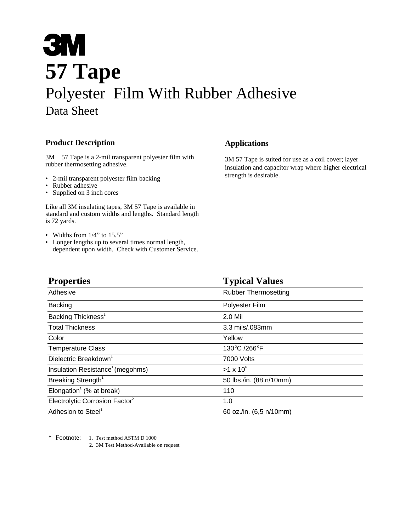# **3M 57 Tape** Polyester Film With Rubber Adhesive Data Sheet

## **Product Description**

 $3M<sup>TM</sup> 57$  Tape is a 2-mil transparent polyester film with rubber thermosetting adhesive.

- 2-mil transparent polyester film backing
- Rubber adhesive
- Supplied on 3 inch cores

Like all 3M insulating tapes, 3M 57 Tape is available in standard and custom widths and lengths. Standard length is 72 yards.

- Widths from 1/4" to 15.5"
- Longer lengths up to several times normal length, dependent upon width. Check with Customer Service.

### **Applications**

3M 57 Tape is suited for use as a coil cover; layer insulation and capacitor wrap where higher electrical strength is desirable.

| <b>Properties</b>                                 | <b>Typical Values</b>       |  |
|---------------------------------------------------|-----------------------------|--|
| Adhesive                                          | <b>Rubber Thermosetting</b> |  |
| <b>Backing</b>                                    | Polyester Film              |  |
| Backing Thickness <sup>1</sup>                    | 2.0 Mil                     |  |
| <b>Total Thickness</b>                            | 3.3 mils/.083mm             |  |
| Color                                             | Yellow                      |  |
| <b>Temperature Class</b>                          | 130°C /266°F                |  |
| Dielectric Breakdown <sup>1</sup>                 | 7000 Volts                  |  |
| Insulation Resistance <sup>1</sup> (megohms)      | $>1 \times 10^6$            |  |
| Breaking Strength <sup>1</sup>                    | 50 lbs./in. (88 n/10mm)     |  |
| Elongation <sup><math>1</math></sup> (% at break) | 110                         |  |
| Electrolytic Corrosion Factor <sup>2</sup>        | 1.0                         |  |
| Adhesion to Steel <sup>1</sup>                    | 60 oz./in. (6,5 n/10mm)     |  |

\* Footnote: 1. Test method ASTM D 1000

2. 3M Test Method-Available on request